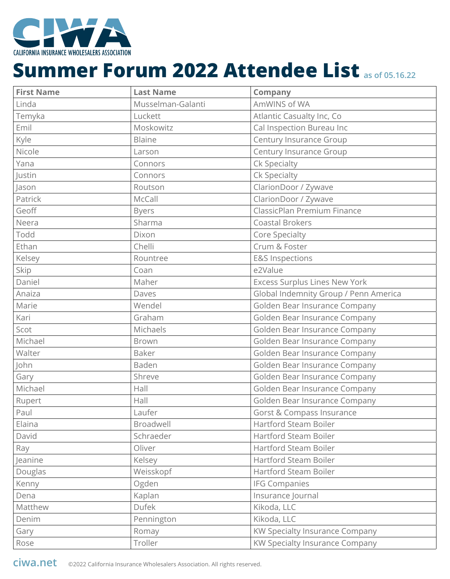

| <b>First Name</b> | <b>Last Name</b>  | <b>Company</b>                        |
|-------------------|-------------------|---------------------------------------|
| Linda             | Musselman-Galanti | AmWINS of WA                          |
| Temyka            | Luckett           | Atlantic Casualty Inc, Co             |
| Emil              | Moskowitz         | Cal Inspection Bureau Inc             |
| Kyle              | Blaine            | Century Insurance Group               |
| Nicole            | Larson            | Century Insurance Group               |
| Yana              | Connors           | Ck Specialty                          |
| Justin            | Connors           | Ck Specialty                          |
| Jason             | Routson           | ClarionDoor / Zywave                  |
| Patrick           | McCall            | ClarionDoor / Zywave                  |
| Geoff             | <b>Byers</b>      | ClassicPlan Premium Finance           |
| Neera             | Sharma            | <b>Coastal Brokers</b>                |
| Todd              | Dixon             | Core Specialty                        |
| Ethan             | Chelli            | Crum & Foster                         |
| Kelsey            | Rountree          | <b>E&amp;S Inspections</b>            |
| Skip              | Coan              | e2Value                               |
| Daniel            | Maher             | <b>Excess Surplus Lines New York</b>  |
| Anaiza            | Daves             | Global Indemnity Group / Penn America |
| Marie             | Wendel            | Golden Bear Insurance Company         |
| Kari              | Graham            | Golden Bear Insurance Company         |
| Scot              | Michaels          | Golden Bear Insurance Company         |
| Michael           | Brown             | Golden Bear Insurance Company         |
| Walter            | <b>Baker</b>      | Golden Bear Insurance Company         |
| John              | Baden             | Golden Bear Insurance Company         |
| Gary              | Shreve            | Golden Bear Insurance Company         |
| Michael           | Hall              | Golden Bear Insurance Company         |
| Rupert            | Hall              | Golden Bear Insurance Company         |
| Paul              | Laufer            | Gorst & Compass Insurance             |
| Elaina            | Broadwell         | <b>Hartford Steam Boiler</b>          |
| David             | Schraeder         | <b>Hartford Steam Boiler</b>          |
| Ray               | Oliver            | Hartford Steam Boiler                 |
| Jeanine           | Kelsey            | <b>Hartford Steam Boiler</b>          |
| Douglas           | Weisskopf         | Hartford Steam Boiler                 |
| Kenny             | Ogden             | <b>IFG Companies</b>                  |
| Dena              | Kaplan            | Insurance Journal                     |
| Matthew           | <b>Dufek</b>      | Kikoda, LLC                           |
| Denim             | Pennington        | Kikoda, LLC                           |
| Gary              | Romay             | KW Specialty Insurance Company        |
| Rose              | Troller           | KW Specialty Insurance Company        |

**ciwa.net** ©2022 California Insurance Wholesalers Association. All rights reserved.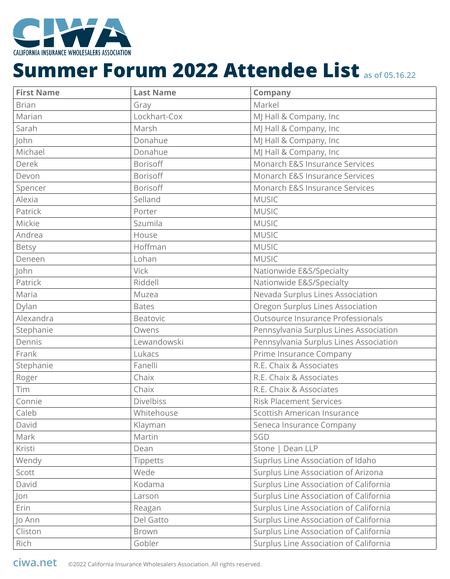

| <b>First Name</b> | <b>Last Name</b> | <b>Company</b>                         |
|-------------------|------------------|----------------------------------------|
| <b>Brian</b>      | Gray             | Markel                                 |
| Marian            | Lockhart-Cox     | MJ Hall & Company, Inc                 |
| Sarah             | Marsh            | MJ Hall & Company, Inc                 |
| John              | Donahue          | MJ Hall & Company, Inc                 |
| Michael           | Donahue          | MJ Hall & Company, Inc                 |
| Derek             | Borisoff         | Monarch E&S Insurance Services         |
| Devon             | Borisoff         | Monarch E&S Insurance Services         |
| Spencer           | Borisoff         | Monarch E&S Insurance Services         |
| Alexia            | Selland          | <b>MUSIC</b>                           |
| Patrick           | Porter           | <b>MUSIC</b>                           |
| Mickie            | Szumila          | <b>MUSIC</b>                           |
| Andrea            | House            | <b>MUSIC</b>                           |
| Betsy             | Hoffman          | <b>MUSIC</b>                           |
| Deneen            | Lohan            | <b>MUSIC</b>                           |
| John              | <b>Vick</b>      | Nationwide E&S/Specialty               |
| Patrick           | Riddell          | Nationwide E&S/Specialty               |
| Maria             | Muzea            | Nevada Surplus Lines Association       |
| Dylan             | <b>Bates</b>     | Oregon Surplus Lines Association       |
| Alexandra         | Beatovic         | Outsource Insurance Professionals      |
| Stephanie         | Owens            | Pennsylvania Surplus Lines Association |
| Dennis            | Lewandowski      | Pennsylvania Surplus Lines Association |
| Frank             | Lukacs           | Prime Insurance Company                |
| Stephanie         | Fanelli          | R.E. Chaix & Associates                |
| Roger             | Chaix            | R.E. Chaix & Associates                |
| Tim               | Chaix            | R.E. Chaix & Associates                |
| Connie            | <b>Divelbiss</b> | <b>Risk Placement Services</b>         |
| Caleb             | Whitehouse       | Scottish American Insurance            |
| David             | Klayman          | Seneca Insurance Company               |
| Mark              | Martin           | SGD                                    |
| Kristi            | Dean             | Stone   Dean LLP                       |
| Wendy             | <b>Tippetts</b>  | Suprlus Line Association of Idaho      |
| Scott             | Wede             | Surplus Line Association of Arizona    |
| David             | Kodama           | Surplus Line Association of California |
| Jon               | Larson           | Surplus Line Association of California |
| Erin              | Reagan           | Surplus Line Association of California |
| Jo Ann            | Del Gatto        | Surplus Line Association of California |
| Cliston           | <b>Brown</b>     | Surplus Line Association of California |
| Rich              | Gobler           | Surplus Line Association of California |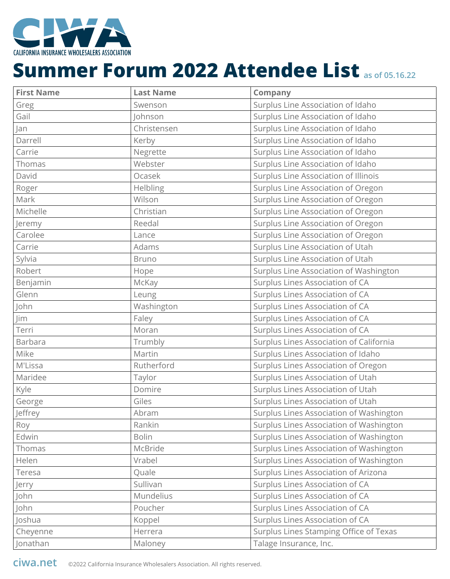

| <b>First Name</b> | <b>Last Name</b> | <b>Company</b>                          |
|-------------------|------------------|-----------------------------------------|
| Greg              | Swenson          | Surplus Line Association of Idaho       |
| Gail              | Johnson          | Surplus Line Association of Idaho       |
| Jan               | Christensen      | Surplus Line Association of Idaho       |
| Darrell           | Kerby            | Surplus Line Association of Idaho       |
| Carrie            | Negrette         | Surplus Line Association of Idaho       |
| Thomas            | Webster          | Surplus Line Association of Idaho       |
| David             | Ocasek           | Surplus Line Association of Illinois    |
| Roger             | Helbling         | Surplus Line Association of Oregon      |
| Mark              | Wilson           | Surplus Line Association of Oregon      |
| Michelle          | Christian        | Surplus Line Association of Oregon      |
| Jeremy            | Reedal           | Surplus Line Association of Oregon      |
| Carolee           | Lance            | Surplus Line Association of Oregon      |
| Carrie            | Adams            | Surplus Line Association of Utah        |
| Sylvia            | <b>Bruno</b>     | Surplus Line Association of Utah        |
| Robert            | Hope             | Surplus Line Association of Washington  |
| Benjamin          | McKay            | Surplus Lines Association of CA         |
| Glenn             | Leung            | Surplus Lines Association of CA         |
| John              | Washington       | Surplus Lines Association of CA         |
| Jim               | Faley            | Surplus Lines Association of CA         |
| Terri             | Moran            | Surplus Lines Association of CA         |
| Barbara           | Trumbly          | Surplus Lines Association of California |
| Mike              | Martin           | Surplus Lines Association of Idaho      |
| M'Lissa           | Rutherford       | Surplus Lines Association of Oregon     |
| Maridee           | Taylor           | Surplus Lines Association of Utah       |
| Kyle              | Domire           | Surplus Lines Association of Utah       |
| George            | Giles            | Surplus Lines Association of Utah       |
| Jeffrey           | Abram            | Surplus Lines Association of Washington |
| Roy               | Rankin           | Surplus Lines Association of Washington |
| Edwin             | <b>Bolin</b>     | Surplus Lines Association of Washington |
| Thomas            | McBride          | Surplus Lines Association of Washington |
| Helen             | Vrabel           | Surplus Lines Association of Washington |
| Teresa            | Quale            | Surplus Lines Association of Arizona    |
| Jerry             | Sullivan         | Surplus Lines Association of CA         |
| John              | Mundelius        | Surplus Lines Association of CA         |
| John              | Poucher          | Surplus Lines Association of CA         |
| Joshua            | Koppel           | Surplus Lines Association of CA         |
| Cheyenne          | Herrera          | Surplus Lines Stamping Office of Texas  |
| Jonathan          | Maloney          | Talage Insurance, Inc.                  |